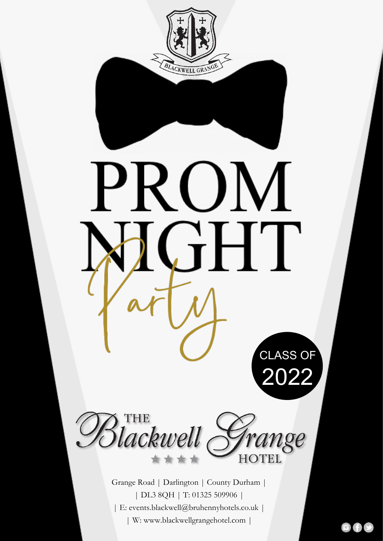

| DL3 8QH | T: 01325 509906 | | E: events.blackwell@bruhennyhotels.co.uk | | W: www.blackwellgrangehotel.com |